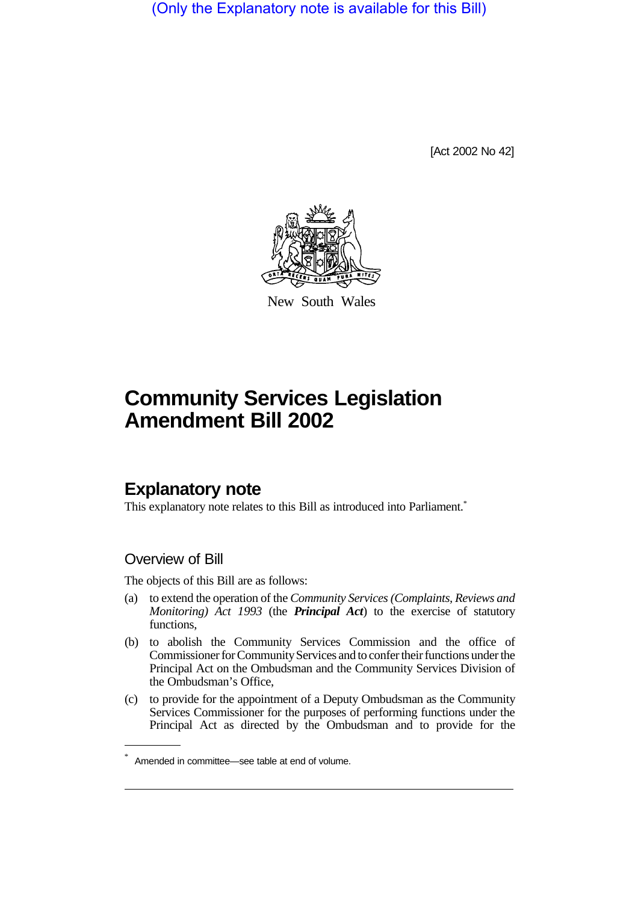(Only the Explanatory note is available for this Bill)

[Act 2002 No 42]



New South Wales

# **Community Services Legislation Amendment Bill 2002**

# **Explanatory note**

This explanatory note relates to this Bill as introduced into Parliament.<sup>\*</sup>

# Overview of Bill

The objects of this Bill are as follows:

- (a) to extend the operation of the *Community Services (Complaints, Reviews and Monitoring) Act 1993* (the *Principal Act*) to the exercise of statutory functions,
- (b) to abolish the Community Services Commission and the office of Commissioner for Community Services and to confer their functions under the Principal Act on the Ombudsman and the Community Services Division of the Ombudsman's Office,
- (c) to provide for the appointment of a Deputy Ombudsman as the Community Services Commissioner for the purposes of performing functions under the Principal Act as directed by the Ombudsman and to provide for the

Amended in committee—see table at end of volume.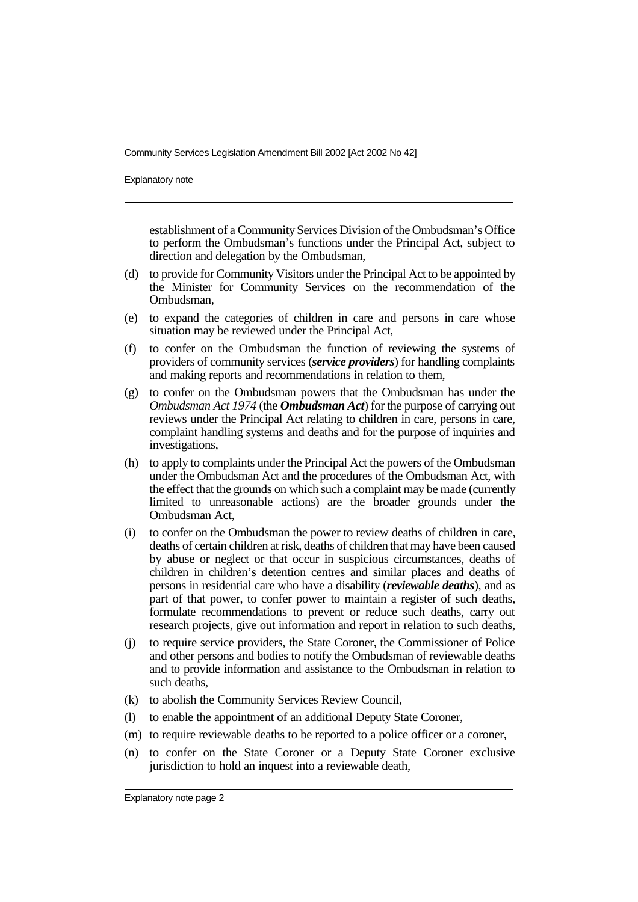Explanatory note

establishment of a Community Services Division of the Ombudsman's Office to perform the Ombudsman's functions under the Principal Act, subject to direction and delegation by the Ombudsman,

- (d) to provide for Community Visitors under the Principal Act to be appointed by the Minister for Community Services on the recommendation of the Ombudsman,
- (e) to expand the categories of children in care and persons in care whose situation may be reviewed under the Principal Act,
- (f) to confer on the Ombudsman the function of reviewing the systems of providers of community services (*service providers*) for handling complaints and making reports and recommendations in relation to them,
- (g) to confer on the Ombudsman powers that the Ombudsman has under the *Ombudsman Act 1974* (the *Ombudsman Act*) for the purpose of carrying out reviews under the Principal Act relating to children in care, persons in care, complaint handling systems and deaths and for the purpose of inquiries and investigations,
- (h) to apply to complaints under the Principal Act the powers of the Ombudsman under the Ombudsman Act and the procedures of the Ombudsman Act, with the effect that the grounds on which such a complaint may be made (currently limited to unreasonable actions) are the broader grounds under the Ombudsman Act,
- (i) to confer on the Ombudsman the power to review deaths of children in care, deaths of certain children at risk, deaths of children that may have been caused by abuse or neglect or that occur in suspicious circumstances, deaths of children in children's detention centres and similar places and deaths of persons in residential care who have a disability (*reviewable deaths*), and as part of that power, to confer power to maintain a register of such deaths, formulate recommendations to prevent or reduce such deaths, carry out research projects, give out information and report in relation to such deaths,
- (j) to require service providers, the State Coroner, the Commissioner of Police and other persons and bodies to notify the Ombudsman of reviewable deaths and to provide information and assistance to the Ombudsman in relation to such deaths,
- (k) to abolish the Community Services Review Council,
- (l) to enable the appointment of an additional Deputy State Coroner,
- (m) to require reviewable deaths to be reported to a police officer or a coroner,
- (n) to confer on the State Coroner or a Deputy State Coroner exclusive jurisdiction to hold an inquest into a reviewable death,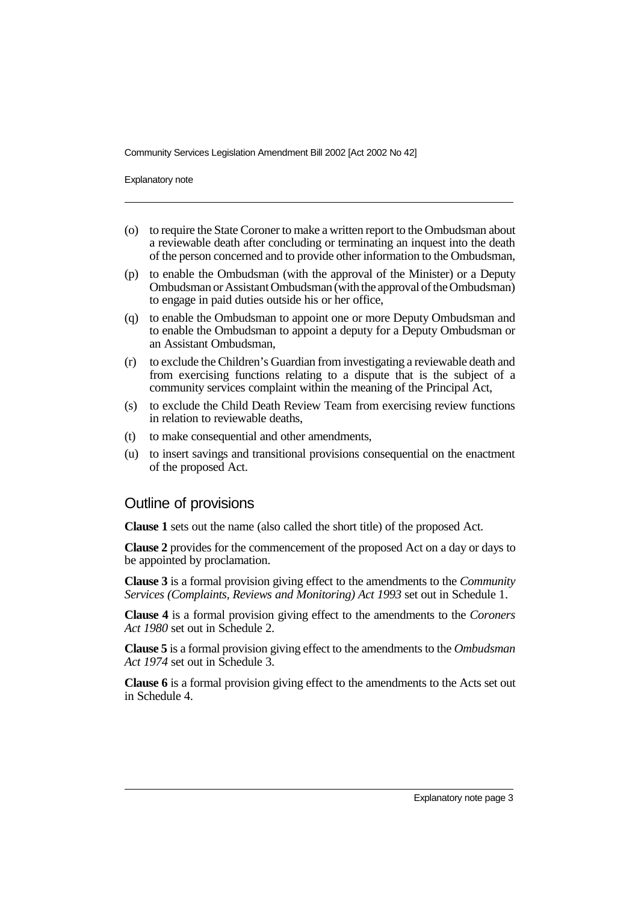Explanatory note

- (o) to require the State Coroner to make a written report to the Ombudsman about a reviewable death after concluding or terminating an inquest into the death of the person concerned and to provide other information to the Ombudsman,
- (p) to enable the Ombudsman (with the approval of the Minister) or a Deputy Ombudsman or Assistant Ombudsman (with the approval of the Ombudsman) to engage in paid duties outside his or her office,
- (q) to enable the Ombudsman to appoint one or more Deputy Ombudsman and to enable the Ombudsman to appoint a deputy for a Deputy Ombudsman or an Assistant Ombudsman,
- (r) to exclude the Children's Guardian from investigating a reviewable death and from exercising functions relating to a dispute that is the subject of a community services complaint within the meaning of the Principal Act,
- (s) to exclude the Child Death Review Team from exercising review functions in relation to reviewable deaths,
- (t) to make consequential and other amendments,
- (u) to insert savings and transitional provisions consequential on the enactment of the proposed Act.

# Outline of provisions

**Clause 1** sets out the name (also called the short title) of the proposed Act.

**Clause 2** provides for the commencement of the proposed Act on a day or days to be appointed by proclamation.

**Clause 3** is a formal provision giving effect to the amendments to the *Community Services (Complaints, Reviews and Monitoring) Act 1993* set out in Schedule 1.

**Clause 4** is a formal provision giving effect to the amendments to the *Coroners Act 1980* set out in Schedule 2.

**Clause 5** is a formal provision giving effect to the amendments to the *Ombudsman Act 1974* set out in Schedule 3.

**Clause 6** is a formal provision giving effect to the amendments to the Acts set out in Schedule 4.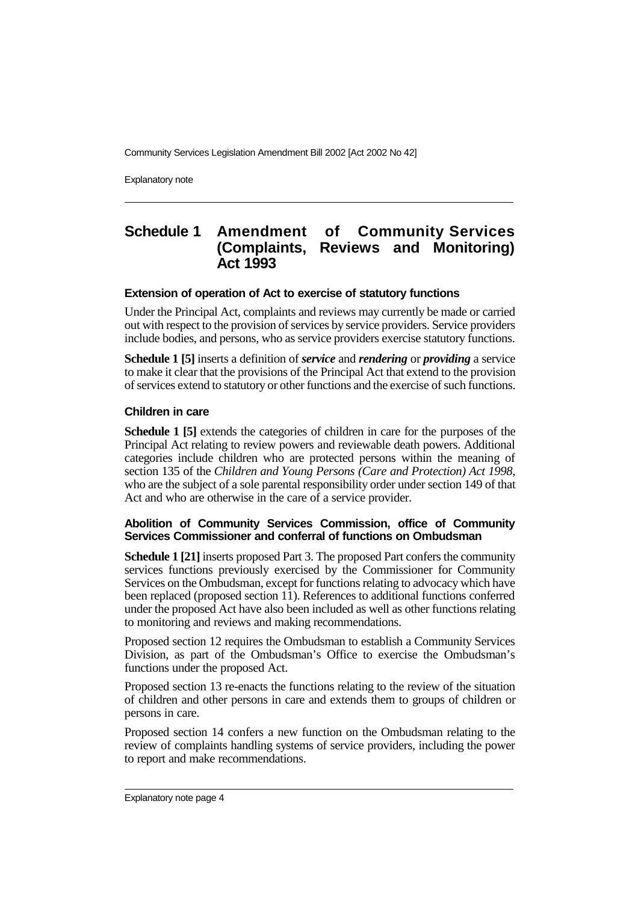Explanatory note

# **Schedule 1 Amendment of Community Services (Complaints, Reviews and Monitoring) Act 1993**

# **Extension of operation of Act to exercise of statutory functions**

Under the Principal Act, complaints and reviews may currently be made or carried out with respect to the provision of services by service providers. Service providers include bodies, and persons, who as service providers exercise statutory functions.

**Schedule 1 [5]** inserts a definition of *service* and *rendering* or *providing* a service to make it clear that the provisions of the Principal Act that extend to the provision of services extend to statutory or other functions and the exercise of such functions.

# **Children in care**

**Schedule 1 [5]** extends the categories of children in care for the purposes of the Principal Act relating to review powers and reviewable death powers. Additional categories include children who are protected persons within the meaning of section 135 of the *Children and Young Persons (Care and Protection) Act 1998*, who are the subject of a sole parental responsibility order under section 149 of that Act and who are otherwise in the care of a service provider.

# **Abolition of Community Services Commission, office of Community Services Commissioner and conferral of functions on Ombudsman**

**Schedule 1 [21]** inserts proposed Part 3. The proposed Part confers the community services functions previously exercised by the Commissioner for Community Services on the Ombudsman, except for functions relating to advocacy which have been replaced (proposed section 11). References to additional functions conferred under the proposed Act have also been included as well as other functions relating to monitoring and reviews and making recommendations.

Proposed section 12 requires the Ombudsman to establish a Community Services Division, as part of the Ombudsman's Office to exercise the Ombudsman's functions under the proposed Act.

Proposed section 13 re-enacts the functions relating to the review of the situation of children and other persons in care and extends them to groups of children or persons in care.

Proposed section 14 confers a new function on the Ombudsman relating to the review of complaints handling systems of service providers, including the power to report and make recommendations.

Explanatory note page 4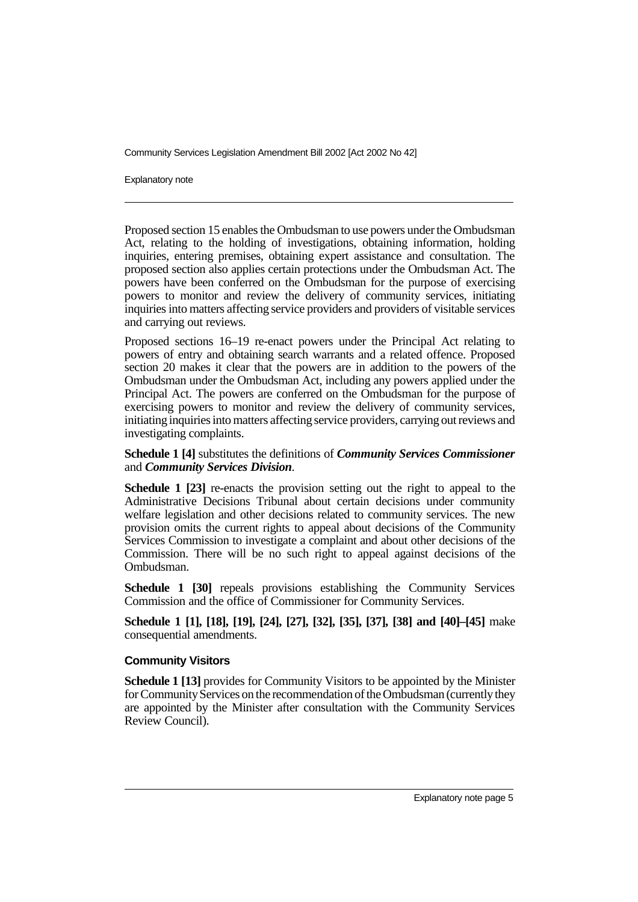Explanatory note

Proposed section 15 enables the Ombudsman to use powers under the Ombudsman Act, relating to the holding of investigations, obtaining information, holding inquiries, entering premises, obtaining expert assistance and consultation. The proposed section also applies certain protections under the Ombudsman Act. The powers have been conferred on the Ombudsman for the purpose of exercising powers to monitor and review the delivery of community services, initiating inquiries into matters affecting service providers and providers of visitable services and carrying out reviews.

Proposed sections 16–19 re-enact powers under the Principal Act relating to powers of entry and obtaining search warrants and a related offence. Proposed section 20 makes it clear that the powers are in addition to the powers of the Ombudsman under the Ombudsman Act, including any powers applied under the Principal Act. The powers are conferred on the Ombudsman for the purpose of exercising powers to monitor and review the delivery of community services, initiating inquiries into matters affecting service providers, carrying out reviews and investigating complaints.

# **Schedule 1 [4]** substitutes the definitions of *Community Services Commissioner* and *Community Services Division*.

**Schedule 1 [23]** re-enacts the provision setting out the right to appeal to the Administrative Decisions Tribunal about certain decisions under community welfare legislation and other decisions related to community services. The new provision omits the current rights to appeal about decisions of the Community Services Commission to investigate a complaint and about other decisions of the Commission. There will be no such right to appeal against decisions of the Ombudsman.

**Schedule 1 [30]** repeals provisions establishing the Community Services Commission and the office of Commissioner for Community Services.

**Schedule 1 [1], [18], [19], [24], [27], [32], [35], [37], [38] and [40]–[45]** make consequential amendments.

### **Community Visitors**

**Schedule 1 [13]** provides for Community Visitors to be appointed by the Minister for Community Services on the recommendation of the Ombudsman (currently they are appointed by the Minister after consultation with the Community Services Review Council).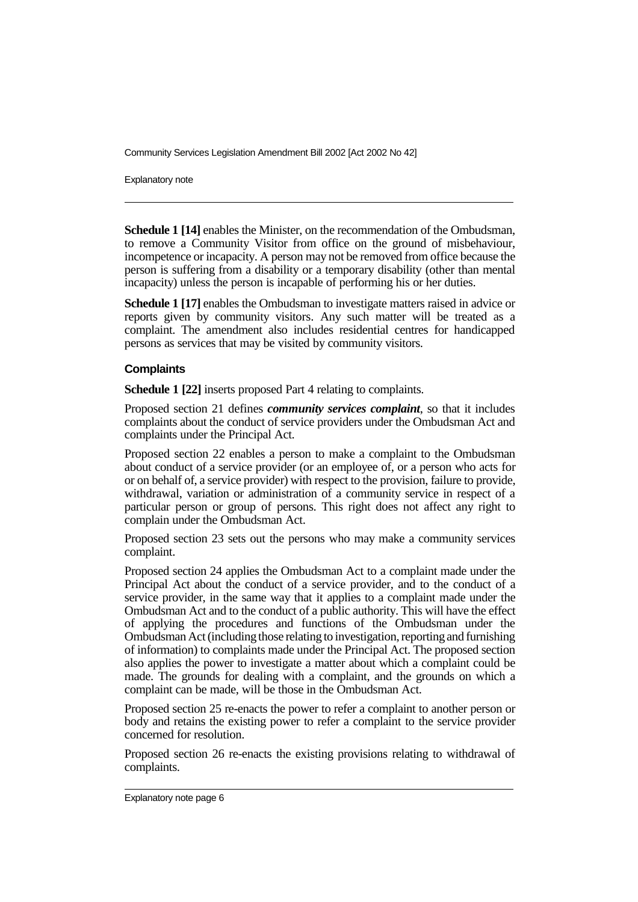Explanatory note

**Schedule 1 [14]** enables the Minister, on the recommendation of the Ombudsman, to remove a Community Visitor from office on the ground of misbehaviour, incompetence or incapacity. A person may not be removed from office because the person is suffering from a disability or a temporary disability (other than mental incapacity) unless the person is incapable of performing his or her duties.

**Schedule 1 [17]** enables the Ombudsman to investigate matters raised in advice or reports given by community visitors. Any such matter will be treated as a complaint. The amendment also includes residential centres for handicapped persons as services that may be visited by community visitors.

#### **Complaints**

**Schedule 1 [22]** inserts proposed Part 4 relating to complaints.

Proposed section 21 defines *community services complaint*, so that it includes complaints about the conduct of service providers under the Ombudsman Act and complaints under the Principal Act.

Proposed section 22 enables a person to make a complaint to the Ombudsman about conduct of a service provider (or an employee of, or a person who acts for or on behalf of, a service provider) with respect to the provision, failure to provide, withdrawal, variation or administration of a community service in respect of a particular person or group of persons. This right does not affect any right to complain under the Ombudsman Act.

Proposed section 23 sets out the persons who may make a community services complaint.

Proposed section 24 applies the Ombudsman Act to a complaint made under the Principal Act about the conduct of a service provider, and to the conduct of a service provider, in the same way that it applies to a complaint made under the Ombudsman Act and to the conduct of a public authority. This will have the effect of applying the procedures and functions of the Ombudsman under the Ombudsman Act (including those relating to investigation, reporting and furnishing of information) to complaints made under the Principal Act. The proposed section also applies the power to investigate a matter about which a complaint could be made. The grounds for dealing with a complaint, and the grounds on which a complaint can be made, will be those in the Ombudsman Act.

Proposed section 25 re-enacts the power to refer a complaint to another person or body and retains the existing power to refer a complaint to the service provider concerned for resolution.

Proposed section 26 re-enacts the existing provisions relating to withdrawal of complaints.

Explanatory note page 6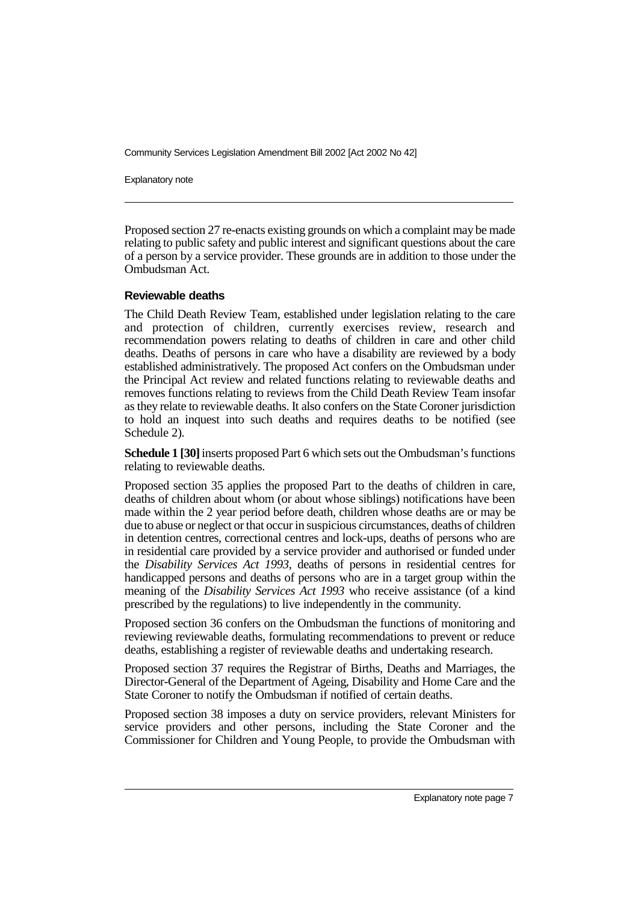Explanatory note

Proposed section 27 re-enacts existing grounds on which a complaint may be made relating to public safety and public interest and significant questions about the care of a person by a service provider. These grounds are in addition to those under the Ombudsman Act.

#### **Reviewable deaths**

The Child Death Review Team, established under legislation relating to the care and protection of children, currently exercises review, research and recommendation powers relating to deaths of children in care and other child deaths. Deaths of persons in care who have a disability are reviewed by a body established administratively. The proposed Act confers on the Ombudsman under the Principal Act review and related functions relating to reviewable deaths and removes functions relating to reviews from the Child Death Review Team insofar as they relate to reviewable deaths. It also confers on the State Coroner jurisdiction to hold an inquest into such deaths and requires deaths to be notified (see Schedule 2).

**Schedule 1 [30]**inserts proposed Part 6 which sets out the Ombudsman's functions relating to reviewable deaths.

Proposed section 35 applies the proposed Part to the deaths of children in care, deaths of children about whom (or about whose siblings) notifications have been made within the 2 year period before death, children whose deaths are or may be due to abuse or neglect or that occur in suspicious circumstances, deaths of children in detention centres, correctional centres and lock-ups, deaths of persons who are in residential care provided by a service provider and authorised or funded under the *Disability Services Act 1993*, deaths of persons in residential centres for handicapped persons and deaths of persons who are in a target group within the meaning of the *Disability Services Act 1993* who receive assistance (of a kind prescribed by the regulations) to live independently in the community.

Proposed section 36 confers on the Ombudsman the functions of monitoring and reviewing reviewable deaths, formulating recommendations to prevent or reduce deaths, establishing a register of reviewable deaths and undertaking research.

Proposed section 37 requires the Registrar of Births, Deaths and Marriages, the Director-General of the Department of Ageing, Disability and Home Care and the State Coroner to notify the Ombudsman if notified of certain deaths.

Proposed section 38 imposes a duty on service providers, relevant Ministers for service providers and other persons, including the State Coroner and the Commissioner for Children and Young People, to provide the Ombudsman with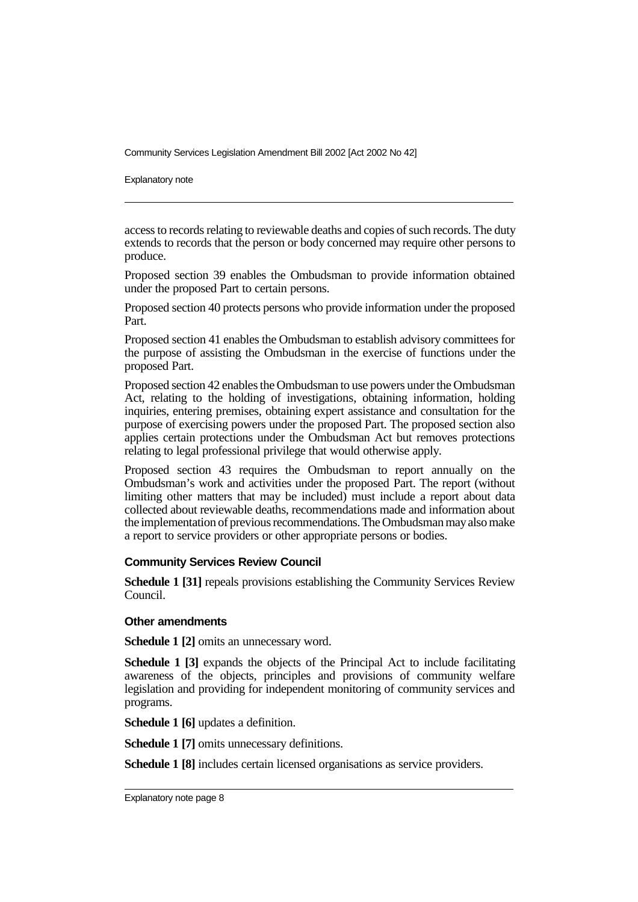Explanatory note

access to records relating to reviewable deaths and copies of such records. The duty extends to records that the person or body concerned may require other persons to produce.

Proposed section 39 enables the Ombudsman to provide information obtained under the proposed Part to certain persons.

Proposed section 40 protects persons who provide information under the proposed Part.

Proposed section 41 enables the Ombudsman to establish advisory committees for the purpose of assisting the Ombudsman in the exercise of functions under the proposed Part.

Proposed section 42 enables the Ombudsman to use powers under the Ombudsman Act, relating to the holding of investigations, obtaining information, holding inquiries, entering premises, obtaining expert assistance and consultation for the purpose of exercising powers under the proposed Part. The proposed section also applies certain protections under the Ombudsman Act but removes protections relating to legal professional privilege that would otherwise apply.

Proposed section 43 requires the Ombudsman to report annually on the Ombudsman's work and activities under the proposed Part. The report (without limiting other matters that may be included) must include a report about data collected about reviewable deaths, recommendations made and information about the implementation of previous recommendations.The Ombudsman mayalso make a report to service providers or other appropriate persons or bodies.

#### **Community Services Review Council**

**Schedule 1 [31]** repeals provisions establishing the Community Services Review Council.

#### **Other amendments**

**Schedule 1 [2]** omits an unnecessary word.

**Schedule 1 [3]** expands the objects of the Principal Act to include facilitating awareness of the objects, principles and provisions of community welfare legislation and providing for independent monitoring of community services and programs.

**Schedule 1 [6]** updates a definition.

**Schedule 1 [7]** omits unnecessary definitions.

**Schedule 1 [8]** includes certain licensed organisations as service providers.

Explanatory note page 8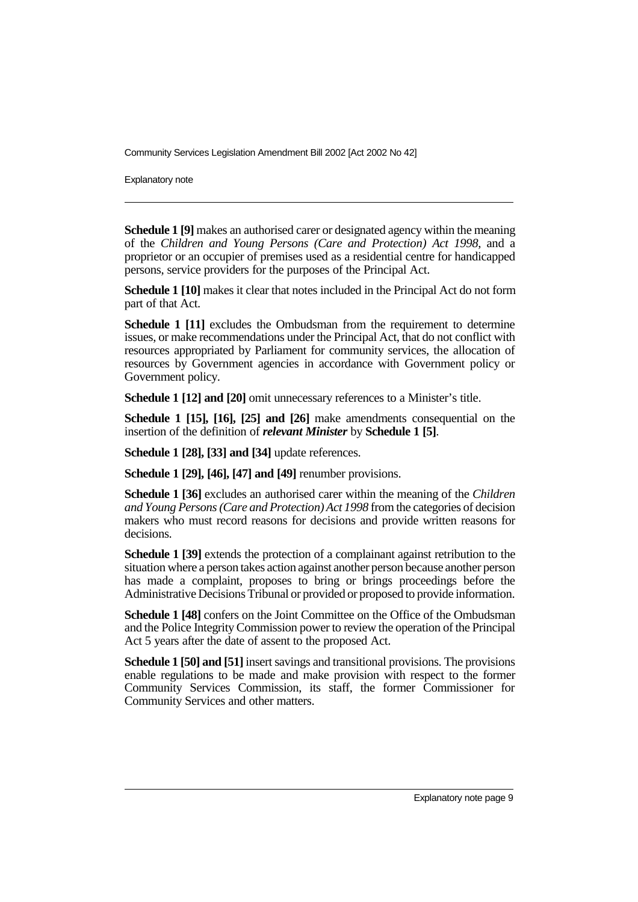Explanatory note

**Schedule 1 [9]** makes an authorised carer or designated agency within the meaning of the *Children and Young Persons (Care and Protection) Act 1998*, and a proprietor or an occupier of premises used as a residential centre for handicapped persons, service providers for the purposes of the Principal Act.

**Schedule 1 [10]** makes it clear that notes included in the Principal Act do not form part of that Act.

**Schedule 1 [11]** excludes the Ombudsman from the requirement to determine issues, or make recommendations under the Principal Act, that do not conflict with resources appropriated by Parliament for community services, the allocation of resources by Government agencies in accordance with Government policy or Government policy.

**Schedule 1 [12] and [20]** omit unnecessary references to a Minister's title.

**Schedule 1 [15], [16], [25] and [26]** make amendments consequential on the insertion of the definition of *relevant Minister* by **Schedule 1 [5]**.

**Schedule 1 [28], [33] and [34]** update references.

**Schedule 1 [29], [46], [47] and [49]** renumber provisions.

**Schedule 1 [36]** excludes an authorised carer within the meaning of the *Children and Young Persons (Care and Protection) Act 1998* from the categories of decision makers who must record reasons for decisions and provide written reasons for decisions.

**Schedule 1 [39]** extends the protection of a complainant against retribution to the situation where a person takes action against another person because another person has made a complaint, proposes to bring or brings proceedings before the Administrative Decisions Tribunal or provided or proposed to provide information.

**Schedule 1 [48]** confers on the Joint Committee on the Office of the Ombudsman and the Police Integrity Commission power to review the operation of the Principal Act 5 years after the date of assent to the proposed Act.

**Schedule 1 [50] and [51]** insert savings and transitional provisions. The provisions enable regulations to be made and make provision with respect to the former Community Services Commission, its staff, the former Commissioner for Community Services and other matters.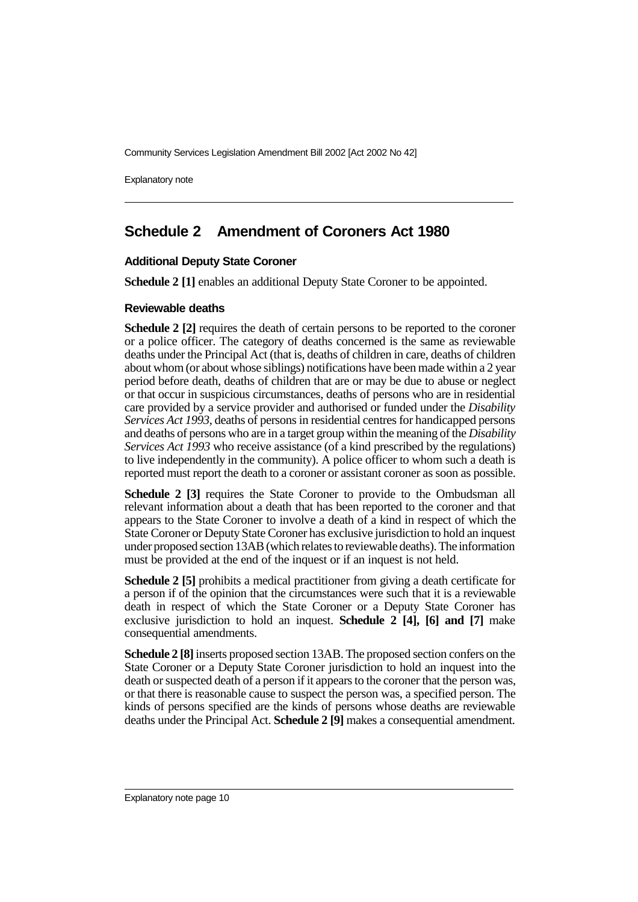Explanatory note

# **Schedule 2 Amendment of Coroners Act 1980**

# **Additional Deputy State Coroner**

**Schedule 2** [1] enables an additional Deputy State Coroner to be appointed.

### **Reviewable deaths**

**Schedule 2 [2]** requires the death of certain persons to be reported to the coroner or a police officer. The category of deaths concerned is the same as reviewable deaths under the Principal Act (that is, deaths of children in care, deaths of children about whom (or about whose siblings) notifications have been made within a 2 year period before death, deaths of children that are or may be due to abuse or neglect or that occur in suspicious circumstances, deaths of persons who are in residential care provided by a service provider and authorised or funded under the *Disability Services Act 1993*, deaths of persons in residential centres for handicapped persons and deaths of persons who are in a target group within the meaning of the *Disability Services Act 1993* who receive assistance (of a kind prescribed by the regulations) to live independently in the community). A police officer to whom such a death is reported must report the death to a coroner or assistant coroner as soon as possible.

**Schedule 2 [3]** requires the State Coroner to provide to the Ombudsman all relevant information about a death that has been reported to the coroner and that appears to the State Coroner to involve a death of a kind in respect of which the State Coroner or Deputy State Coroner has exclusive jurisdiction to hold an inquest under proposed section 13AB (which relates to reviewable deaths). The information must be provided at the end of the inquest or if an inquest is not held.

**Schedule 2 [5]** prohibits a medical practitioner from giving a death certificate for a person if of the opinion that the circumstances were such that it is a reviewable death in respect of which the State Coroner or a Deputy State Coroner has exclusive jurisdiction to hold an inquest. **Schedule 2 [4], [6] and [7]** make consequential amendments.

**Schedule 2 [8]**inserts proposed section 13AB. The proposed section confers on the State Coroner or a Deputy State Coroner jurisdiction to hold an inquest into the death or suspected death of a person if it appears to the coroner that the person was, or that there is reasonable cause to suspect the person was, a specified person. The kinds of persons specified are the kinds of persons whose deaths are reviewable deaths under the Principal Act. **Schedule 2 [9]** makes a consequential amendment.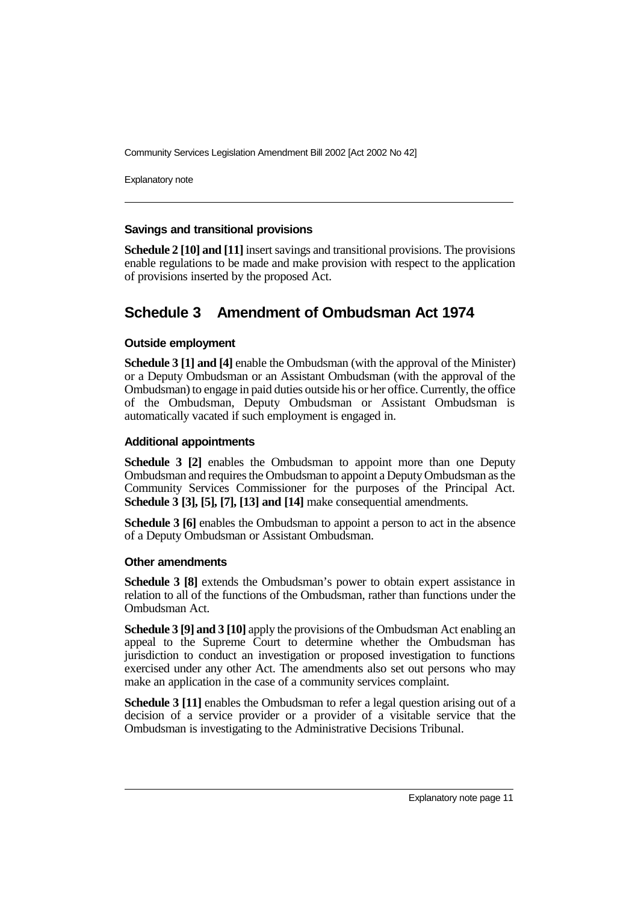Explanatory note

# **Savings and transitional provisions**

**Schedule 2 [10] and [11]** insert savings and transitional provisions. The provisions enable regulations to be made and make provision with respect to the application of provisions inserted by the proposed Act.

# **Schedule 3 Amendment of Ombudsman Act 1974**

# **Outside employment**

**Schedule 3 [1] and [4]** enable the Ombudsman (with the approval of the Minister) or a Deputy Ombudsman or an Assistant Ombudsman (with the approval of the Ombudsman) to engage in paid duties outside his or her office. Currently, the office of the Ombudsman, Deputy Ombudsman or Assistant Ombudsman is automatically vacated if such employment is engaged in.

# **Additional appointments**

**Schedule 3 [2]** enables the Ombudsman to appoint more than one Deputy Ombudsman and requires the Ombudsman to appoint a Deputy Ombudsman as the Community Services Commissioner for the purposes of the Principal Act. **Schedule 3 [3], [5], [7], [13] and [14]** make consequential amendments.

**Schedule 3 [6]** enables the Ombudsman to appoint a person to act in the absence of a Deputy Ombudsman or Assistant Ombudsman.

### **Other amendments**

**Schedule 3 [8]** extends the Ombudsman's power to obtain expert assistance in relation to all of the functions of the Ombudsman, rather than functions under the Ombudsman Act.

**Schedule 3 [9] and 3 [10]** apply the provisions of the Ombudsman Act enabling an appeal to the Supreme Court to determine whether the Ombudsman has jurisdiction to conduct an investigation or proposed investigation to functions exercised under any other Act. The amendments also set out persons who may make an application in the case of a community services complaint.

**Schedule 3 [11]** enables the Ombudsman to refer a legal question arising out of a decision of a service provider or a provider of a visitable service that the Ombudsman is investigating to the Administrative Decisions Tribunal.